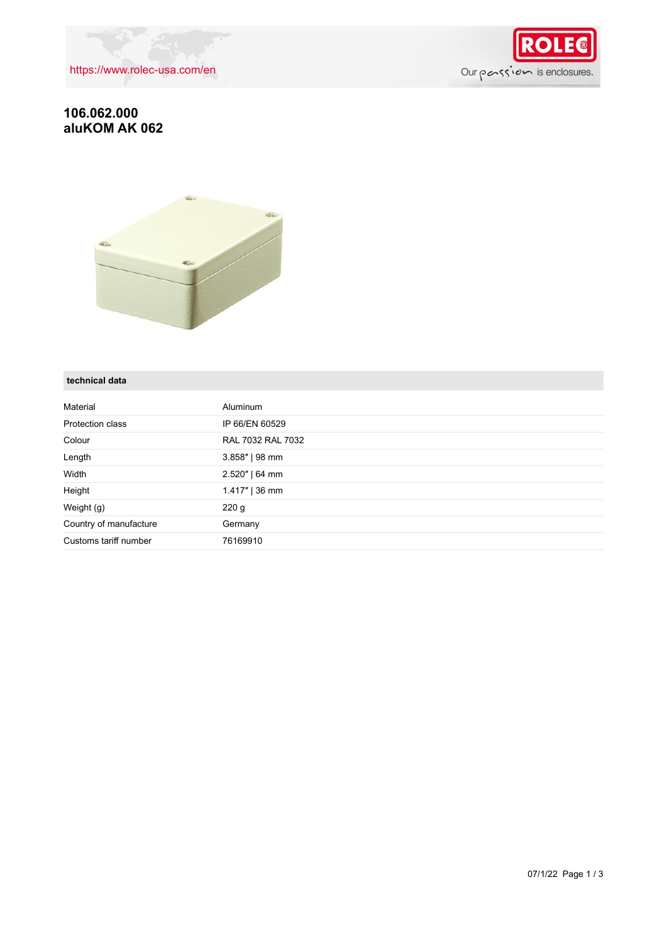



## **106.062.000 aluKOM AK 062**



#### **technical data**

| Material               | <b>Aluminum</b>   |
|------------------------|-------------------|
| Protection class       | IP 66/EN 60529    |
| Colour                 | RAL 7032 RAL 7032 |
| Length                 | $3.858"$   98 mm  |
| Width                  | $2.520"$   64 mm  |
| Height                 | $1.417"$   36 mm  |
| Weight (g)             | 220 g             |
| Country of manufacture | Germany           |
| Customs tariff number  | 76169910          |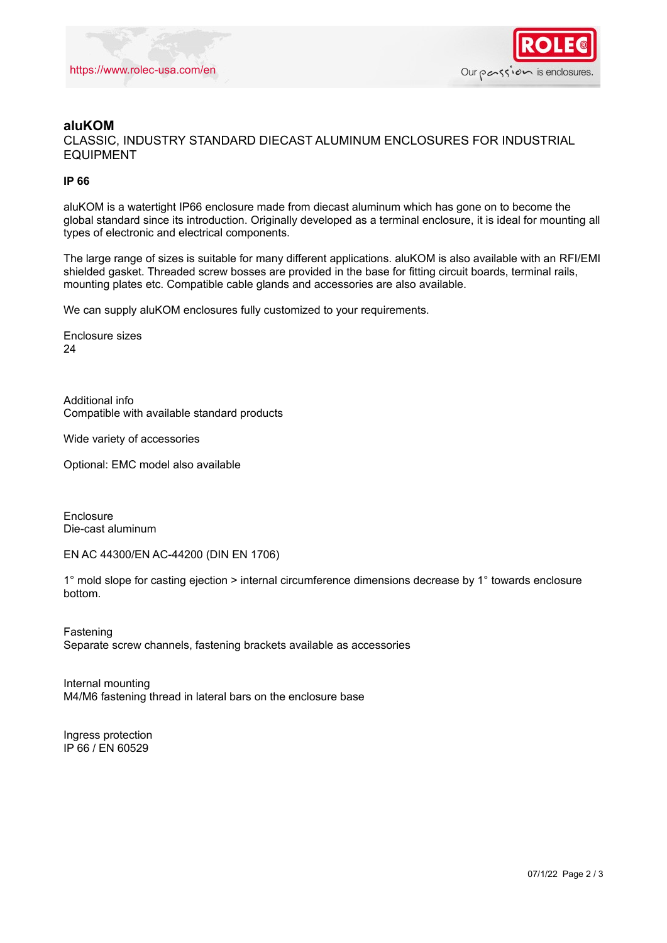

### **aluKOM**

CLASSIC, INDUSTRY STANDARD DIECAST ALUMINUM ENCLOSURES FOR INDUSTRIAL EQUIPMENT

#### **IP 66**

aluKOM is a watertight IP66 enclosure made from diecast aluminum which has gone on to become the global standard since its introduction. Originally developed as a terminal enclosure, it is ideal for mounting all types of electronic and electrical components.

The large range of sizes is suitable for many different applications. aluKOM is also available with an RFI/EMI shielded gasket. Threaded screw bosses are provided in the base for fitting circuit boards, terminal rails, mounting plates etc. Compatible cable glands and accessories are also available.

We can supply aluKOM enclosures fully customized to your requirements.

Enclosure sizes 24

Additional info Compatible with available standard products

Wide variety of accessories

Optional: EMC model also available

Enclosure Die-cast aluminum

EN AC 44300/EN AC-44200 (DIN EN 1706)

1° mold slope for casting ejection > internal circumference dimensions decrease by 1° towards enclosure bottom.

Fastening Separate screw channels, fastening brackets available as accessories

Internal mounting M4/M6 fastening thread in lateral bars on the enclosure base

Ingress protection IP 66 / EN 60529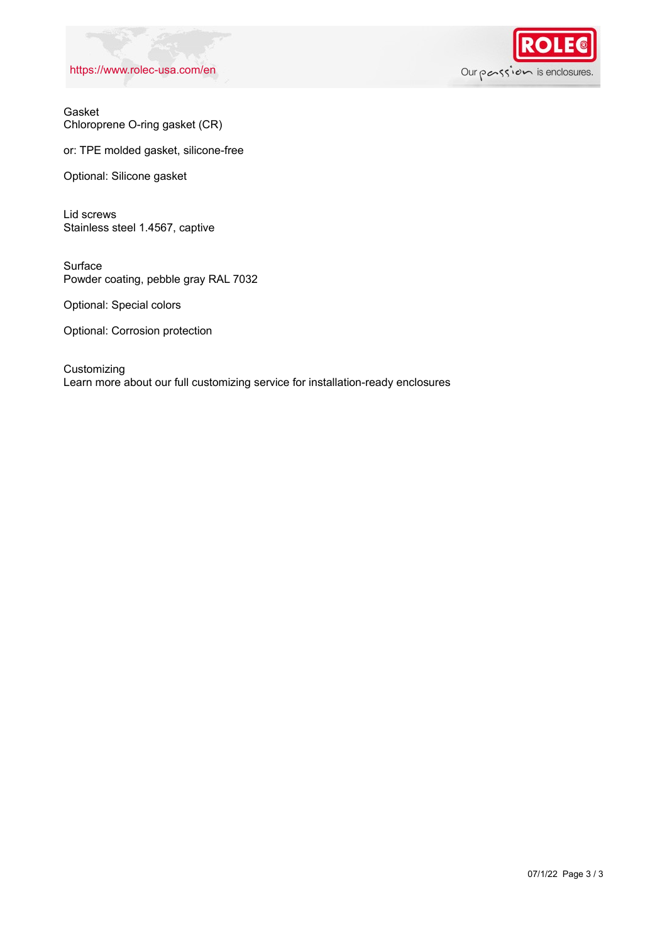### <https://www.rolec-usa.com/en>



Gasket Chloroprene O-ring gasket (CR)

or: TPE molded gasket, silicone-free

Optional: Silicone gasket

Lid screws Stainless steel 1.4567, captive

Surface Powder coating, pebble gray RAL 7032

Optional: Special colors

Optional: Corrosion protection

Customizing Learn more about our full customizing service for installation-ready enclosures